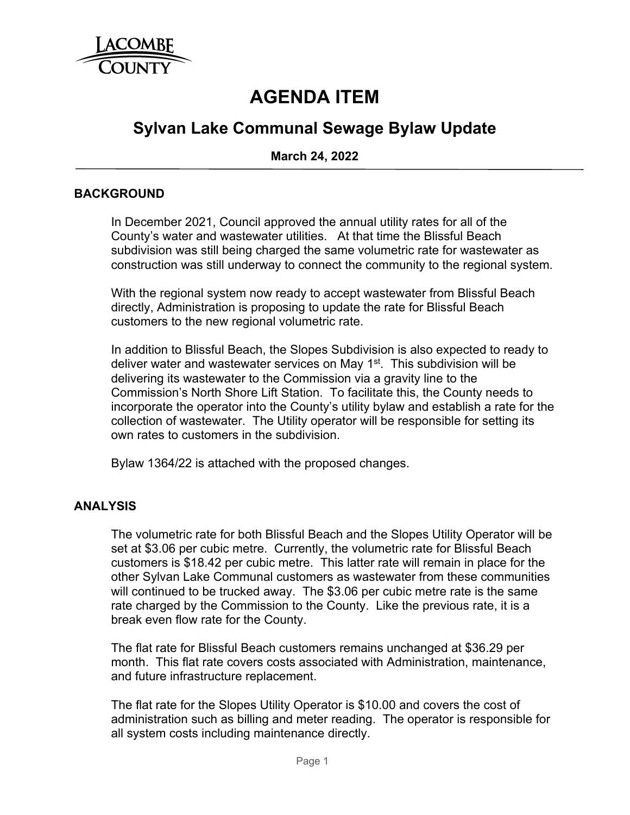

# **AGENDA ITEM**

# **Sylvan Lake Communal Sewage Bylaw Update**

**March 24, 2022**

#### **BACKGROUND**

In December 2021, Council approved the annual utility rates for all of the County's water and wastewater utilities. At that time the Blissful Beach subdivision was still being charged the same volumetric rate for wastewater as construction was still underway to connect the community to the regional system.

With the regional system now ready to accept wastewater from Blissful Beach directly, Administration is proposing to update the rate for Blissful Beach customers to the new regional volumetric rate.

In addition to Blissful Beach, the Slopes Subdivision is also expected to ready to deliver water and wastewater services on May 1<sup>st</sup>. This subdivision will be delivering its wastewater to the Commission via a gravity line to the Commission's North Shore Lift Station. To facilitate this, the County needs to incorporate the operator into the County's utility bylaw and establish a rate for the collection of wastewater. The Utility operator will be responsible for setting its own rates to customers in the subdivision.

Bylaw 1364/22 is attached with the proposed changes.

### **ANALYSIS**

The volumetric rate for both Blissful Beach and the Slopes Utility Operator will be set at \$3.06 per cubic metre. Currently, the volumetric rate for Blissful Beach customers is \$18.42 per cubic metre. This latter rate will remain in place for the other Sylvan Lake Communal customers as wastewater from these communities will continued to be trucked away. The \$3.06 per cubic metre rate is the same rate charged by the Commission to the County. Like the previous rate, it is a break even flow rate for the County.

The flat rate for Blissful Beach customers remains unchanged at \$36.29 per month. This flat rate covers costs associated with Administration, maintenance, and future infrastructure replacement.

The flat rate for the Slopes Utility Operator is \$10.00 and covers the cost of administration such as billing and meter reading. The operator is responsible for all system costs including maintenance directly.